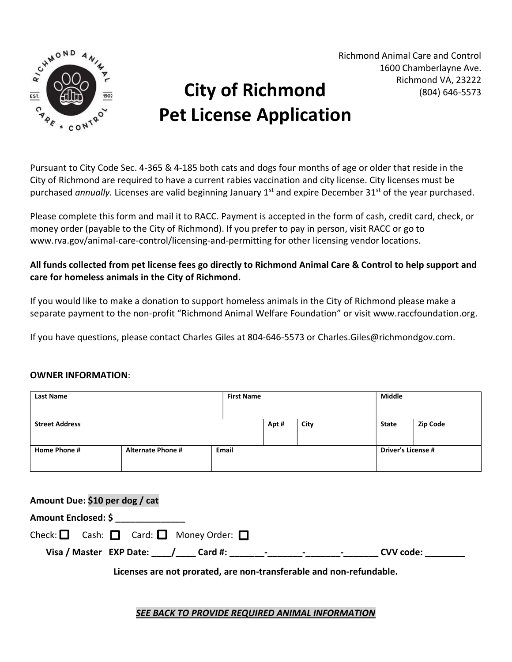

## City of Richmond Pet License Application

Richmond Animal Care and Control 1600 Chamberlayne Ave. Richmond VA, 23222 (804) 646-5573

Pursuant to City Code Sec. 4-365 & 4-185 both cats and dogs four months of age or older that reside in the City of Richmond are required to have a current rabies vaccination and city license. City licenses must be purchased annually. Licenses are valid beginning January 1<sup>st</sup> and expire December 31<sup>st</sup> of the year purchased.

Please complete this form and mail it to RACC. Payment is accepted in the form of cash, credit card, check, or money order (payable to the City of Richmond). If you prefer to pay in person, visit RACC or go to www.rva.gov/animal-care-control/licensing-and-permitting for other licensing vendor locations.

All funds collected from pet license fees go directly to Richmond Animal Care & Control to help support and care for homeless animals in the City of Richmond.

If you would like to make a donation to support homeless animals in the City of Richmond please make a separate payment to the non-profit "Richmond Animal Welfare Foundation" or visit www.raccfoundation.org.

If you have questions, please contact Charles Giles at 804-646-5573 or Charles.Giles@richmondgov.com.

## OWNER INFORMATION:

| <b>Last Name</b>      |                          | <b>First Name</b> |      |      | Middle |                           |                 |
|-----------------------|--------------------------|-------------------|------|------|--------|---------------------------|-----------------|
| <b>Street Address</b> |                          |                   | Apt# | City |        | State                     | <b>Zip Code</b> |
| Home Phone #          | <b>Alternate Phone #</b> | Email             |      |      |        | <b>Driver's License #</b> |                 |

| Amount Due: \$10 per dog / cat                                      |  |  |  |  |  |  |  |
|---------------------------------------------------------------------|--|--|--|--|--|--|--|
| Amount Enclosed: \$                                                 |  |  |  |  |  |  |  |
| Check: $\Box$ Cash: $\Box$ Card: $\Box$ Money Order: $\Box$         |  |  |  |  |  |  |  |
|                                                                     |  |  |  |  |  |  |  |
| Licenses are not prorated, are non-transferable and non-refundable. |  |  |  |  |  |  |  |

SEE BACK TO PROVIDE REQUIRED ANIMAL INFORMATION